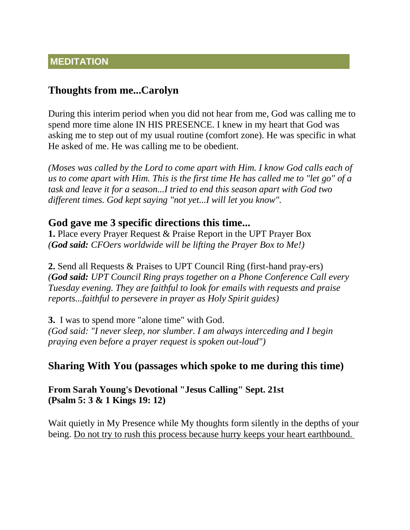### **MEDITATION**

## **Thoughts from me...Carolyn**

During this interim period when you did not hear from me, God was calling me to spend more time alone IN HIS PRESENCE. I knew in my heart that God was asking me to step out of my usual routine (comfort zone). He was specific in what He asked of me. He was calling me to be obedient.

*(Moses was called by the Lord to come apart with Him. I know God calls each of us to come apart with Him. This is the first time He has called me to "let go" of a task and leave it for a season...I tried to end this season apart with God two different times. God kept saying "not yet...I will let you know".* 

#### **God gave me 3 specific directions this time...**

**1.** Place every Prayer Request & Praise Report in the UPT Prayer Box *(God said: CFOers worldwide will be lifting the Prayer Box to Me!)*

**2.** Send all Requests & Praises to UPT Council Ring (first-hand pray-ers) *(God said: UPT Council Ring prays together on a Phone Conference Call every Tuesday evening. They are faithful to look for emails with requests and praise reports...faithful to persevere in prayer as Holy Spirit guides)*

**3.** I was to spend more "alone time" with God. *(God said: "I never sleep, nor slumber. I am always interceding and I begin praying even before a prayer request is spoken out-loud")*

# **Sharing With You (passages which spoke to me during this time)**

**From Sarah Young's Devotional "Jesus Calling" Sept. 21st (Psalm 5: 3 & 1 Kings 19: 12)**

Wait quietly in My Presence while My thoughts form silently in the depths of your being. Do not try to rush this process because hurry keeps your heart earthbound.